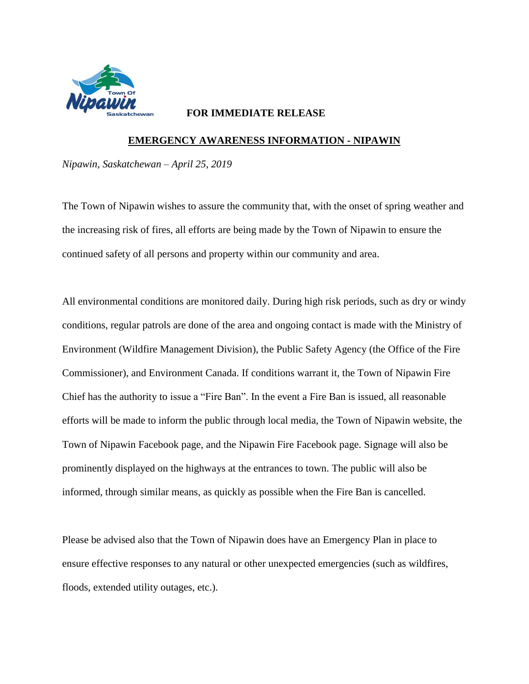

## **FOR IMMEDIATE RELEASE**

## **EMERGENCY AWARENESS INFORMATION - NIPAWIN**

*Nipawin, Saskatchewan – April 25, 2019*

The Town of Nipawin wishes to assure the community that, with the onset of spring weather and the increasing risk of fires, all efforts are being made by the Town of Nipawin to ensure the continued safety of all persons and property within our community and area.

All environmental conditions are monitored daily. During high risk periods, such as dry or windy conditions, regular patrols are done of the area and ongoing contact is made with the Ministry of Environment (Wildfire Management Division), the Public Safety Agency (the Office of the Fire Commissioner), and Environment Canada. If conditions warrant it, the Town of Nipawin Fire Chief has the authority to issue a "Fire Ban". In the event a Fire Ban is issued, all reasonable efforts will be made to inform the public through local media, the Town of Nipawin website, the Town of Nipawin Facebook page, and the Nipawin Fire Facebook page. Signage will also be prominently displayed on the highways at the entrances to town. The public will also be informed, through similar means, as quickly as possible when the Fire Ban is cancelled.

Please be advised also that the Town of Nipawin does have an Emergency Plan in place to ensure effective responses to any natural or other unexpected emergencies (such as wildfires, floods, extended utility outages, etc.).